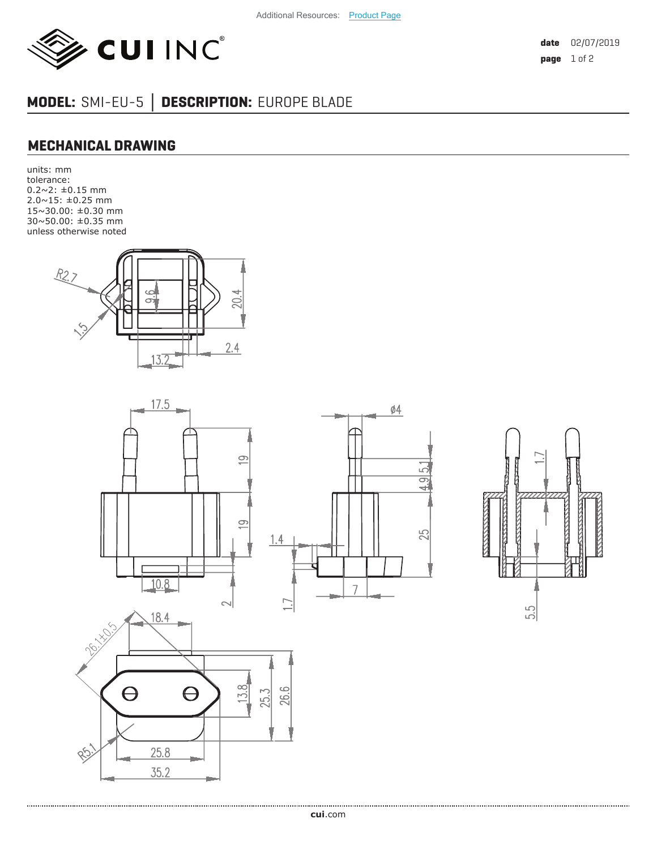

**date** 02/07/2019 **page** 1 of 2

## **MODEL:** SMI-EU-5 **│ DESCRIPTION:** EUROPE BLADE

## **MECHANICAL DRAWING**

units: mm tolerance: 0.2~2: ±0.15 mm 2.0~15: ±0.25 mm 15~30.00: ±0.30 mm 30~50.00: ±0.35 mm unless otherwise noted





LQ

ட்